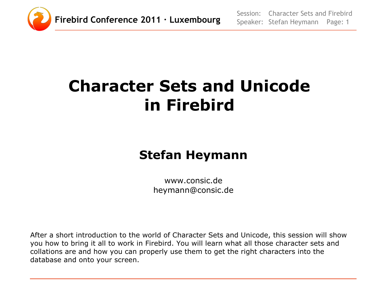

# **Character Sets and Unicode in Firebird**

#### **Stefan Heymann**

www.consic.de heymann@consic.de

After a short introduction to the world of Character Sets and Unicode, this session will show you how to bring it all to work in Firebird. You will learn what all those character sets and collations are and how you can properly use them to get the right characters into the database and onto your screen.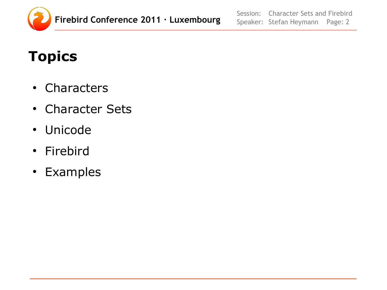

Session: Speaker: Stefan Heymann Page: 2 Character Sets and Firebird

## **Topics**

- Characters
- Character Sets
- Unicode
- Firebird
- Examples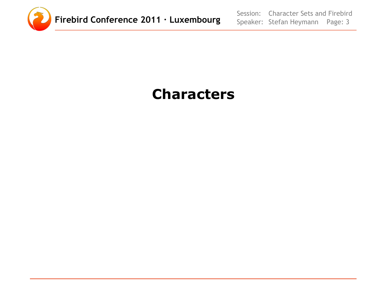

Session: Speaker: Stefan Heymann Page: 3 Character Sets and Firebird

#### **Characters**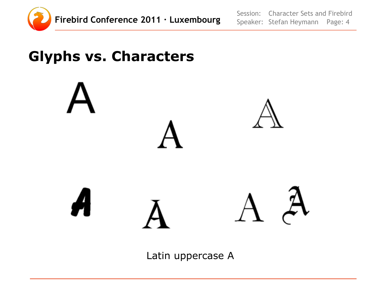

Session: Speaker: Stefan Heymann Page: 4 Character Sets and Firebird

#### **Glyphs vs. Characters**



Latin uppercase A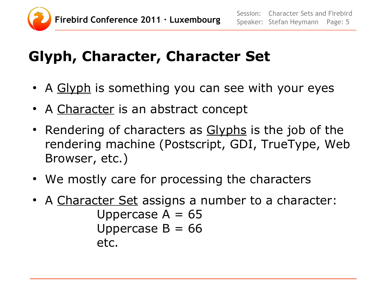

#### **Glyph, Character, Character Set**

- A Glyph is something you can see with your eyes
- A Character is an abstract concept
- Rendering of characters as Glyphs is the job of the rendering machine (Postscript, GDI, TrueType, Web Browser, etc.)
- We mostly care for processing the characters
- A Character Set assigns a number to a character: Uppercase  $A = 65$ Uppercase  $B = 66$ etc.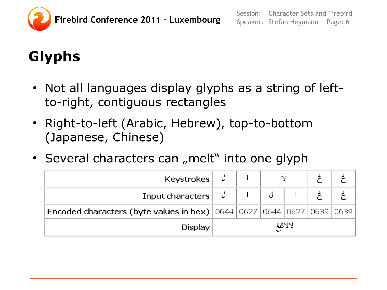

## **Glyphs**

- Not all languages display glyphs as a string of leftto-right, contiguous rectangles
- Right-to-left (Arabic, Hebrew), top-to-bottom (Japanese, Chinese)
- Several characters can "melt" into one glyph

| Keystrokes $\cup$                                                                 |  |        |  |
|-----------------------------------------------------------------------------------|--|--------|--|
| Input characters $\begin{array}{ c c c } \hline \downarrow & \end{array}$         |  |        |  |
| Encoded characters (byte values in hex)   0644   0627   0644   0627   0639   0639 |  |        |  |
| <b>Display</b>                                                                    |  | لالاغغ |  |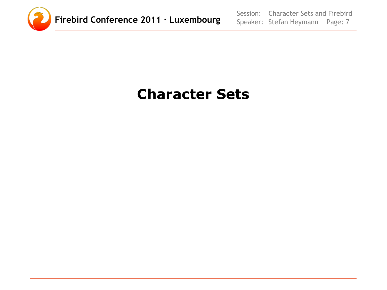

Session: Speaker: Stefan Heymann Page: 7 Character Sets and Firebird

#### **Character Sets**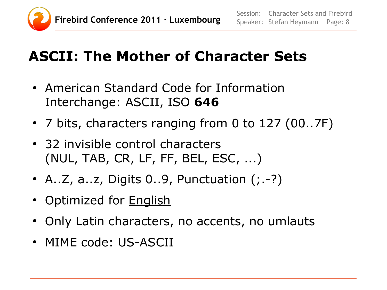

## **ASCII: The Mother of Character Sets**

- American Standard Code for Information Interchange: ASCII, ISO **646**
- 7 bits, characters ranging from 0 to 127 (00..7F)
- 32 invisible control characters (NUL, TAB, CR, LF, FF, BEL, ESC, ...)
- A..Z, a..z, Digits  $0..9$ , Punctuation  $($ ;.-?)
- Optimized for **English**
- Only Latin characters, no accents, no umlauts
- MIME code: US-ASCII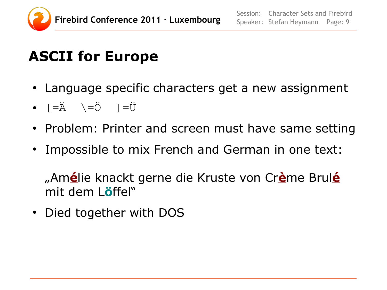

## **ASCII for Europe**

- Language specific characters get a new assignment
- $\bullet$   $\left[-\ddot{A} \quad \right]\left[-\ddot{C} \quad \right] = \ddot{U}$
- Problem: Printer and screen must have same setting
- Impossible to mix French and German in one text:

"Am**é**lie knackt gerne die Kruste von Cr**è**me Brul**é** mit dem L**ö**ffel"

• Died together with DOS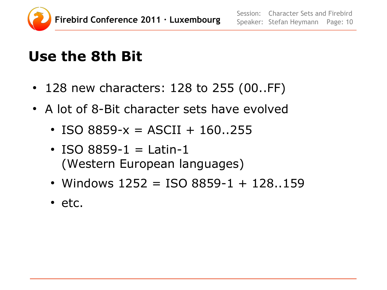

## **Use the 8th Bit**

- 128 new characters: 128 to 255 (00..FF)
- A lot of 8-Bit character sets have evolved
	- ISO 8859- $x = ASCII + 160.255$
	- ISO 8859-1 = Latin-1 (Western European languages)
	- Windows  $1252 = ISO 8859-1 + 128.159$
	- etc.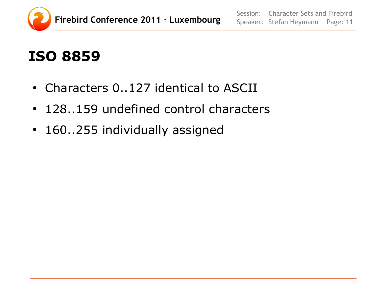

## **ISO 8859**

- Characters 0..127 identical to ASCII
- 128..159 undefined control characters
- 160..255 individually assigned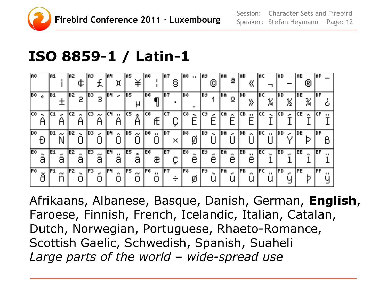

Session: Speaker: Stefan Heymann Page: 12 Character Sets and Firebird

#### **ISO 8859-1 / Latin-1**

| <b>A</b> 0 |            | A1   |         | IAZ.  |   | IA3  |         | 164        | Ή                                        | IA5   | ъ.,                   | IA6.       |                               | A7                      | S | ¦A≎ …                     |             | A9   | ⑩                           | AA        | 할                             | IAB. |                          | IAC.        |    | IAD. |              | <b>IAE</b> | 闲                           | IAF        |
|------------|------------|------|---------|-------|---|------|---------|------------|------------------------------------------|-------|-----------------------|------------|-------------------------------|-------------------------|---|---------------------------|-------------|------|-----------------------------|-----------|-------------------------------|------|--------------------------|-------------|----|------|--------------|------------|-----------------------------|------------|
| <b>Bû</b>  | $\bullet$  | C1   |         | IBZ.  | 2 | IE 3 | 3       | <b>IBH</b> | $\mathbf{r}$                             | IE5   | μ                     | <b>IBG</b> |                               | lB 7                    |   | $\overline{\mathbf{B}^2}$ | ÷.          | lB9. |                             | EA        | $\overline{2}$                | IEB. |                          | BC          | X  | IBD. | ķ            | EE         | 为                           | IEF        |
| <b>Co</b>  | ۳.         |      | e.      |       |   | C3   | المالان |            | $\blacksquare$<br>If $\blacksquare$<br>Ĥ | IC5   | Å                     | IC6.       |                               | jc 7                    |   | C8∣                       | $\bullet$ . | C9.  | $\mathcal{L}^{\mathbf{m}}$  | CA        | $\mathcal{F}^{\mathcal{A}}$ . | ICB. | $\blacksquare$           | loc         | ۰. | ICD. | an.          | СE         | $\mathcal{L}_{\mathcal{A}}$ | ICF        |
| <b>Do</b>  |            | 101. | الموالي | ID 2. |   | D3   |         | 104        | <b>Section</b>                           | ID 51 | $\sigma_{\rm{min}}$ . | <b>106</b> | $\mathbf{0}$ and $\mathbf{0}$ | $\overline{\mathbf{p}}$ |   | $\overline{\text{D}8}$    |             | [D9] | $\mathbf{H}_{\text{eff}}$ . | DA        | <b>Section</b>                | IDB. | $\mathcal{L}_{\rm{max}}$ | <u>IDC </u> |    | IDD. | $\mathbf{r}$ | <b>JDE</b> |                             | IDF        |
|            |            |      |         |       |   |      |         |            |                                          |       |                       |            |                               |                         | × |                           | Ø           |      |                             |           |                               |      |                          |             |    |      |              |            |                             |            |
| Eo         | $\ddot{a}$ | IE1  | а       | IE2.  | â | lE3  | ã       | <b>E4</b>  | $\blacksquare$<br>а                      | IE5   | 。<br>a                | IE6.       | æ                             | IE 7                    |   | lE≎.                      | e           | lЕ9  | e                           | <b>EA</b> | ê                             | IEB. | е                        | <b>JEC</b>  |    | IED. |              | EE         | e.                          | <b>IEF</b> |

Afrikaans, Albanese, Basque, Danish, German, **English**, Faroese, Finnish, French, Icelandic, Italian, Catalan, Dutch, Norwegian, Portuguese, Rhaeto-Romance, Scottish Gaelic, Schwedish, Spanish, Suaheli *Large parts of the world – wide-spread use*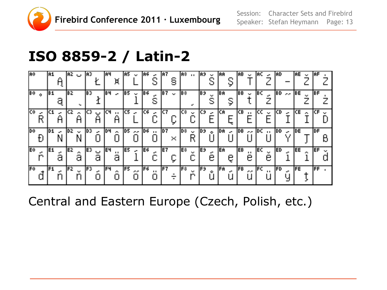

Session: Speaker: Stefan Heymann Page: 13 Character Sets and Firebird

#### **ISO 8859-2 / Latin-2**

| IAO.                                | IA1.                  | $ $ A2 ( , $ $ A3 $ $            | ŀ                    | 184<br>Ή                                      | IA5.<br><b>Section</b>    | IA6.<br>$\mathbf{e}^{\mathbf{e}}$<br>S     | IA 7<br>§                          | A8   A9 .                      | $\sim 10$<br>S        | AA<br>Ş         | IAB.<br><b>Section</b>              | IAC.<br>$\mathcal{L}^{\mathbf{m}}$                                                | IAD.                          | IAE.<br>$\sim$ | IAF          |
|-------------------------------------|-----------------------|----------------------------------|----------------------|-----------------------------------------------|---------------------------|--------------------------------------------|------------------------------------|--------------------------------|-----------------------|-----------------|-------------------------------------|-----------------------------------------------------------------------------------|-------------------------------|----------------|--------------|
| $\overline{\mathbb{R}^0}$ of        | E1<br>а               | IB 2.                            | IBB.                 | F<br>$\mathbf{e}^{\mathbf{e}^{\mathrm{T}}}$ . | <b>IBS</b><br>$\sim$ [36] |                                            | B.7   <br><b>Section</b>           | lB8.                           | <b>E3</b><br>цý.<br>S | <b>IBA</b><br>Ş | <b>IBB</b><br>$\Delta \mathbf{r}$ . | IBC.                                                                              | $ BD  \rightarrow  BE $       |                | BF           |
| 厑<br>$\mathbf{r}^{\mathrm{H}}$<br>R | العبد                 | ICZ.<br>$\mathcal{M}_\mathrm{c}$ | ICB.<br>$\Box$       | ICH.<br>$\mathbf{0},\mathbf{0}$ .             | IC5.<br><b>Section</b>    | IC6.<br>$\mathbf{e}^{\mathbf{e}^{\prime}}$ | IC7                                | lcs.<br>У.                     | icali<br>$\mathbf{r}$ | <b>ICA</b>      | ICB.<br>$\blacksquare$              | ICC.<br>$\mathbf{u}$                                                              | ICD.<br><b>SP</b>             | ICE            | ICF          |
|                                     |                       |                                  |                      |                                               |                           |                                            |                                    |                                |                       |                 |                                     |                                                                                   |                               |                |              |
| <b>Dû</b>                           | ID 1.<br>$\mathbf{r}$ | DZ <br>$\sim 10$                 | IDB.<br>$\mathbf{r}$ | 104<br>$\sim 10^{-10}$                        | 105<br>$-$ 0.6            | $\mathbf{B}$ . $\mathbf{B}$ .              | D7 <br>$\mathcal{M}_{\mathcal{C}}$ | ∥D≎ l<br>$\sim 10$             | 109.<br>$\bullet$     | DA .-           | JDB .                               | iss ∣DC in I                                                                      | $\overline{\mathsf{DD} \sim}$ | IDE I          | <b>DF</b>    |
| lE0.<br>Ю.                          | IE1.<br>а             | IEZ.<br>e.                       | E3.<br>پ<br>а        | le4<br>. .<br>а                               | IE5<br>$\mathbf{r}$       | <b>JE6</b>                                 | IE 7                               | lE≎ i<br>$\mathbf{r}$<br>ा अमे | IE9.<br>e             | lEA.<br>ę       | IEB.<br>$\blacksquare$<br>е         | <b>JEC</b><br>$\mathbf{u}$<br>е<br>$\mathop{\mathsf{Fc}}\nolimits_{\mathbb{R}^+}$ | IED.                          | <b>JEE</b>     | IEF.<br>a, p |

Central and Eastern Europe (Czech, Polish, etc.)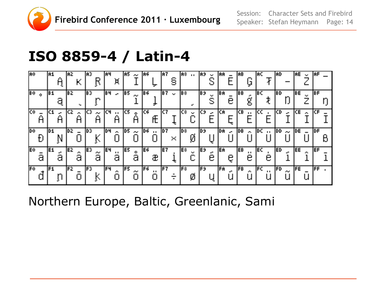

Session: Speaker: Stefan Heymann Page: 14 Character Sets and Firebird

#### **ISO 8859-4 / Latin-4**

| IA0.                   | IA1            | IAZ.<br>К                                | IAB.<br>R         | 1A4<br>Ή                                        | IAS.<br>المحار              | IA6.                | IAZ.<br>g                 | IA8.<br>$\sim 0.1$  | IA9.<br>$\sim$   | AA                              | AB <br>Ō                    | IAC.                  | 1AD.                             | AE<br>$\sim$           | IAF        |
|------------------------|----------------|------------------------------------------|-------------------|-------------------------------------------------|-----------------------------|---------------------|---------------------------|---------------------|------------------|---------------------------------|-----------------------------|-----------------------|----------------------------------|------------------------|------------|
| <b>BO</b><br>$\bullet$ | E1<br>ą        | IB 2.                                    | IB3.<br>r,        | <b>B4</b><br>$\mathbf{e}^{\mathbf{e}^{\prime}}$ | JB5.<br>$\sigma_{\rm eff}$  | IB 6.<br>Ŧ          | IB 7 -<br><b>Contract</b> | IB8.<br>a.          | IB9.<br>хy.<br>S | EA<br>е                         | IE B<br>ደ                   | IBC.                  | IBD.                             | IBE.<br><b>Section</b> | IBF.       |
| 厄                      | <b>Sec</b>     | ICZ.<br>$\mathcal{F}_{\mathcal{F}}$<br>Α | IСB.<br>المحاد    | IСЧ<br>$\blacksquare$<br>Α                      | IC5.<br>ė<br>Ĥ              | IC6                 | lc 7                      | IC8<br>$\mathbf{u}$ | IСЭ<br>العي      | CA                              | ICB.<br>$\blacksquare$      | lcc.                  | lcD.<br>$\overline{\phantom{a}}$ | <b>CE</b><br>УW.       |            |
|                        |                |                                          |                   |                                                 |                             |                     |                           |                     |                  |                                 |                             |                       |                                  |                        |            |
| <b>Dû</b>              | <b>D1</b><br>N | ID 2.                                    | lDB.              | 104<br>$\sim 10$                                | JD 5.<br>$\sigma_{\rm eff}$ | D6 <br>$\mathbf{H}$ | D 7   <br>×               | los.<br>y           | D9               | DA<br>$\mathbf{e}^{\mathbf{e}}$ | JDB.<br>$\sim$              | IDC I<br>$\mathbf{H}$ | IDD.<br><b>Contract</b>          | <b>DE</b>              | DF.        |
| E0 <br>а               | IE1<br>а       | IE 2<br>and in<br>а                      | E3<br>and in<br>а | IE4<br>$\blacksquare$<br>а                      | IE5.<br>$\bullet$<br>а      | IE6.<br>æ           | IE 7                      | lE≎i<br>n e         | lE9.<br>÷<br>е   | EA<br>ę                         | IEB.<br>$\blacksquare$<br>е | IE CI<br>е            | IED.                             | EE<br>O.               | <b>IEF</b> |

Northern Europe, Baltic, Greenlanic, Sami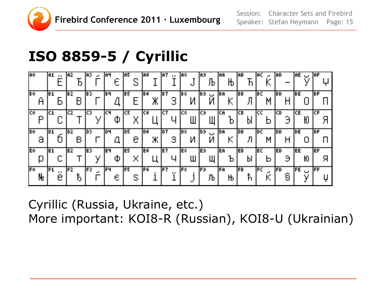

## **ISO 8859-5 / Cyrillic**

| <b>RO</b>       | IA1.  | $\blacksquare$ | IA2        | IАЗ                     | $\mathbf{r}$ | 1A4<br>Е | IA5  | S | IA6   |    | IA 7<br>$\blacksquare$ | IA8.<br>ப                         | lA9       | Ъ              | IAA.      | $\mathbf{b}$ | IAB.       | Ћ  | IAC.  | $\rightarrow$ | IAD  |   | AE   | $\mathbf{u}$                        | <b>IAF</b> |   |
|-----------------|-------|----------------|------------|-------------------------|--------------|----------|------|---|-------|----|------------------------|-----------------------------------|-----------|----------------|-----------|--------------|------------|----|-------|---------------|------|---|------|-------------------------------------|------------|---|
| <b>B</b> o<br>Ĥ | IB 1. |                | IB 2.      | IB 31                   |              | E4       | IB5. |   | IB6.  | Ж  | JB 7.<br>ゴ             | B≎∣<br>И                          | lB9.      | $\cup$<br>И    | BAI       | Κ            | IBB.       |    | IBC.  | H             | IED. |   | IBE. |                                     | IBF.       |   |
| 匝<br>D          | lc1   | ப              | CZ.        | $\overline{\mathbf{C}}$ |              | Iсч<br>Ф | IC5. | Χ | IC6   |    | jc 7                   | $\overline{\mathsf{c}\mathsf{s}}$ | IС9       |                | lcn.      | D            | ICB.       | ÞI | lcc.  |               | ICD  |   | CE.  |                                     | ICF.       |   |
|                 |       |                |            |                         |              |          |      |   |       |    |                        |                                   |           |                |           |              |            |    |       |               |      |   |      |                                     |            |   |
| <b>Do</b><br>Э  | ID 1. |                | ID 2.<br>R | ID 3.                   |              | 104      | D5   | е | ID 6. | Ж. | D 7   <br>з            | $\overline{\mathbf{p}^*}$<br>И    | <b>P3</b> | آباد<br>ا<br>И | <b>DA</b> | К            | <b>JDB</b> | Л  | ID CI | M             | DD   | H | IDE. |                                     | <b>DF</b>  |   |
| <b>E</b> o<br>Ŋ | lE1.  |                | E2.        | E3                      | ν            | le4<br>Ф | IE5. | Χ | lE6   |    | IE 7                   | E8.<br>Ш                          | lE9.      |                | lEA.      | b            | <b>JEB</b> | bl | lE Ci | Þ             | ED   | Э | EE   | Ю<br>$\mathsf{fFE} \cup \mathsf{f}$ | <b>IEF</b> | Я |

Cyrillic (Russia, Ukraine, etc.) More important: KOI8-R (Russian), KOI8-U (Ukrainian)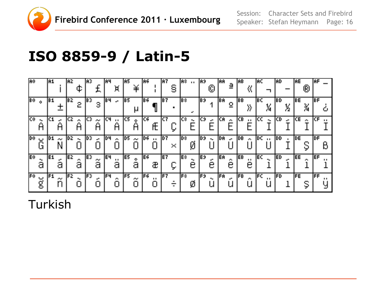

Session: Character Sets and Firebird Speaker: Stefan Heymann Page: 16

#### **ISO 8859-9 / Latin-5**

| AO               |         | lA1  |         | IAZ. | ¢       | IA3   |                 | 1A4 | Ή                          | IA5  | ¥          | IA6       |                | 1A 7 | S                           | lA≎ … |         | 1A9.       | (Ō)    | IAA. | a                 | ĤB  | 섟              | AC    |                | IAD.      |   | <b>AE</b> | (R)    | IAF |
|------------------|---------|------|---------|------|---------|-------|-----------------|-----|----------------------------|------|------------|-----------|----------------|------|-----------------------------|-------|---------|------------|--------|------|-------------------|-----|----------------|-------|----------------|-----------|---|-----------|--------|-----|
| $\mathbb{R}^0$ o |         | F1   |         | IB 2 | 2       | IBB.  | 3               | 164 | $\mathbf{e}^{\mathbf{e}}$  | IB5. | μ          | IB6.      |                | le 7 |                             | B8    | ÷       | lB9        |        | EA   | $\mathbf{\Omega}$ | BB. |                | IB CI | X              | IBD.      | X | IBE.      | X<br>M | IBF |
| C٥.              |         |      |         | IC 2 | æ.      | CЗ    | المنافر         | IСЧ | $\blacksquare$             | IC5. | Å          | IC6.      |                | ſC 7 |                             | IC8.  |         | IС9        | цH.    | ICA. | У.                | CВ  | $\blacksquare$ | ICC   | $\blacksquare$ | ICD.      |   | ICE.      | аń,    | lCF |
| <b>Dû</b>        | ب       | 10 1 | الموالي | 1D 2 |         | ID 3. | e.              | 104 |                            | ID5. |            | <b>D6</b> |                | D7   |                             | ∥D≎   |         | <b>109</b> |        | DA   | ш.                | DB  |                | DC.   |                | JDD.      |   | IDE.      |        | IDF |
|                  |         |      |         |      |         |       |                 |     | $\mathcal{L}^{\text{max}}$ |      | $\sim$     |           | $\mathbf{r}$ . |      | $\mathcal{M}_{\mathcal{A}}$ |       | Ø       |            | ۰.     |      |                   |     | $\sim$         |       | $\mathbf{u}$ . |           |   |           |        |     |
| Eΰ               | ۰.<br>а | IE1  | а       | IE2. | o.<br>а | IE3.  | $\widetilde{a}$ | le4 | $\blacksquare$<br>а        | E5   | $\ddot{a}$ | lE6.      | æ              | lE 7 | ⋤                           | E8    | ۰.<br>е | lE9.       | c<br>e | EA   | cв.<br>е          | EB  | . .<br>е       | EC    |                | <b>ED</b> |   | EE        | æ.     | lef |

Turkish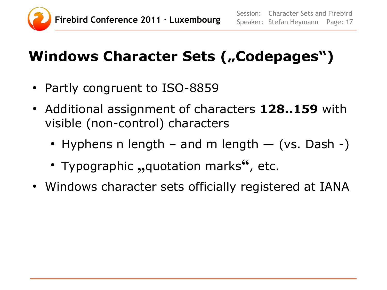

## **Windows Character Sets ("Codepages")**

- Partly congruent to ISO-8859
- Additional assignment of characters 128..159 with visible (non-control) characters
	- Hyphens n length and m length  $-$  (vs. Dash -)
	- Typographic "quotation marks", etc.
- Windows character sets officially registered at IANA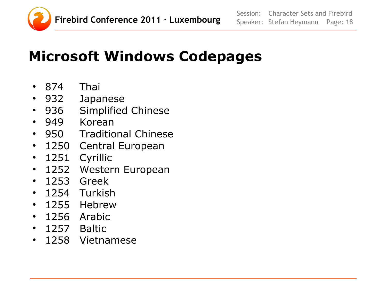

## **Microsoft Windows Codepages**

- 874 Thai
- 932 Japanese
- 936 Simplified Chinese
- 949 Korean
- 950 Traditional Chinese
- 1250 Central European
- 1251 Cyrillic
- 1252 Western European
- 1253 Greek
- 1254 Turkish
- 1255 Hebrew
- 1256 Arabic
- 1257 Baltic
- 1258 Vietnamese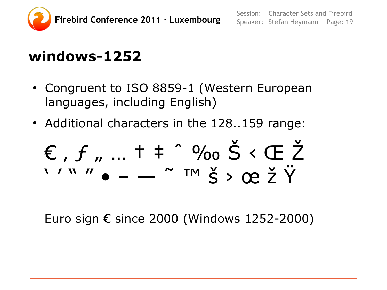

#### **windows-1252**

- Congruent to ISO 8859-1 (Western European languages, including English)
- Additional characters in the 128..159 range:

$$
\varepsilon, f, f, \ldots + \frac{9}{100} \text{ s} < \text{E} \text{ Z}
$$

Euro sign € since 2000 (Windows 1252-2000)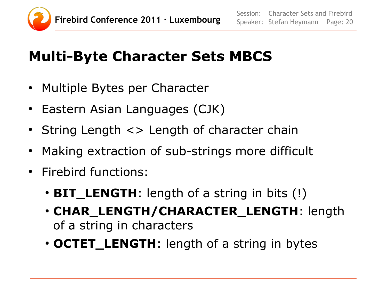

## **Multi-Byte Character Sets MBCS**

- Multiple Bytes per Character
- Eastern Asian Languages (CJK)
- String Length <> Length of character chain
- Making extraction of sub-strings more difficult
- Firebird functions:
	- **BIT\_LENGTH**: length of a string in bits (!)
	- **CHAR\_LENGTH/CHARACTER\_LENGTH**: length of a string in characters
	- **OCTET\_LENGTH**: length of a string in bytes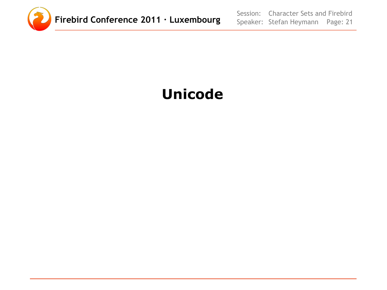

Session: Speaker: Stefan Heymann Page: 21 Character Sets and Firebird

## **Unicode**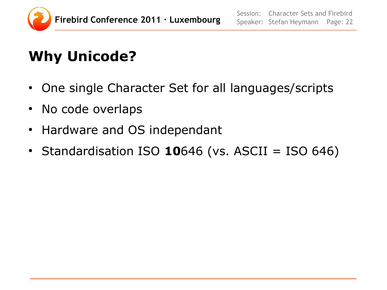

## **Why Unicode?**

- One single Character Set for all languages/scripts
- No code overlaps
- Hardware and OS independant
- $\cdot$  Standardisation ISO 10646 (vs. ASCII = ISO 646)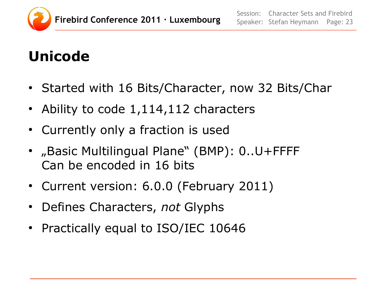

## **Unicode**

- Started with 16 Bits/Character, now 32 Bits/Char
- Ability to code  $1,114,112$  characters
- Currently only a fraction is used
- "Basic Multilingual Plane" (BMP): 0..U+FFFF Can be encoded in 16 bits
- Current version: 6.0.0 (February 2011)
- Defines Characters, *not* Glyphs
- Practically equal to ISO/IEC 10646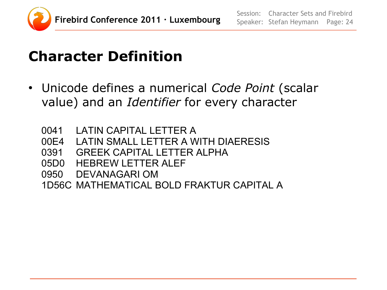

## **Character Definition**

- Unicode defines a numerical *Code Point* (scalar value) and an *Identifier* for every character
	- 0041 LATIN CAPITAL LETTER A
	- 00E4 LATIN SMALL LETTER A WITH DIAERESIS
	- 0391 GREEK CAPITAL LETTER ALPHA
	- 05D0 HEBREW LETTER ALEF
	- 0950 DEVANAGARI OM
	- 1D56C MATHEMATICAL BOLD FRAKTUR CAPITAL A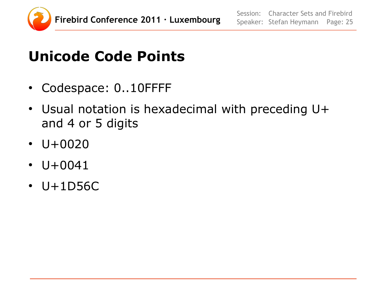

### **Unicode Code Points**

- Codespace: 0..10FFFF
- Usual notation is hexadecimal with preceding U+ and 4 or 5 digits
- $\cdot$  U+0020
- $\cdot$  U+0041
- $\cdot$  U+1D56C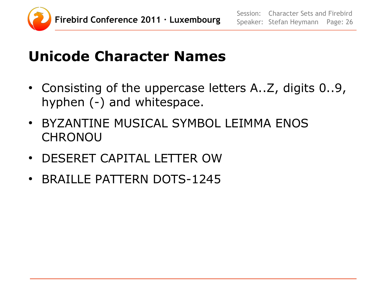

#### **Unicode Character Names**

- Consisting of the uppercase letters A..Z, digits 0..9, hyphen (-) and whitespace.
- BYZANTINE MUSICAL SYMBOL LEIMMA ENOS **CHRONOU**
- DESERET CAPITAL LETTER OW
- BRAILLE PATTERN DOTS-1245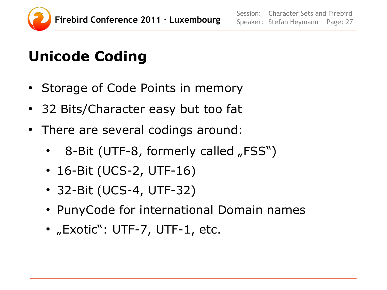

## **Unicode Coding**

- Storage of Code Points in memory
- 32 Bits/Character easy but too fat
- There are several codings around:
	- 8-Bit (UTF-8, formerly called "FSS")
	- 16-Bit (UCS-2, UTF-16)
	- 32-Bit (UCS-4, UTF-32)
	- PunyCode for international Domain names
	- "Exotic": UTF-7, UTF-1, etc.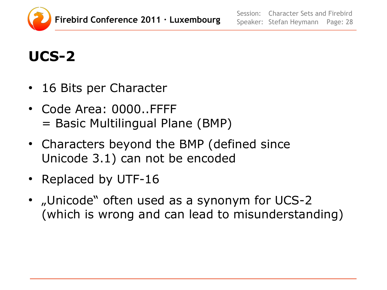

## **UCS-2**

- 16 Bits per Character
- Code Area: 0000..FFFF = Basic Multilingual Plane (BMP)
- Characters beyond the BMP (defined since Unicode 3.1) can not be encoded
- Replaced by UTF-16
- "Unicode" often used as a synonym for UCS-2 (which is wrong and can lead to misunderstanding)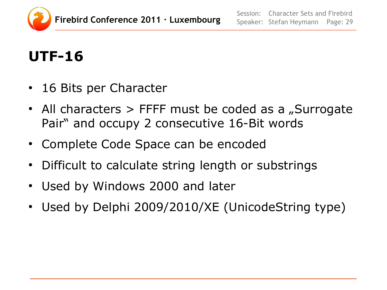

## **UTF-16**

- 16 Bits per Character
- All characters  $>$  FFFF must be coded as a "Surrogate Pair" and occupy 2 consecutive 16-Bit words
- Complete Code Space can be encoded
- Difficult to calculate string length or substrings
- Used by Windows 2000 and later
- Used by Delphi 2009/2010/XE (UnicodeString type)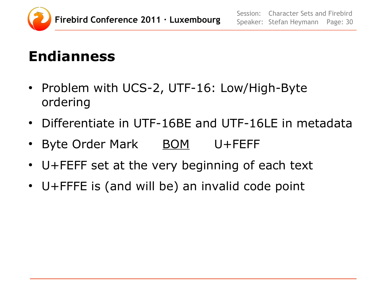

#### **Endianness**

- Problem with UCS-2, UTF-16: Low/High-Byte ordering
- Differentiate in UTF-16BE and UTF-16LE in metadata
- Byte Order Mark BOM U+FEFF
- U+FEFF set at the very beginning of each text
- U+FFFE is (and will be) an invalid code point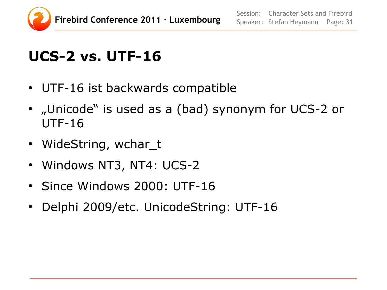

## **UCS-2 vs. UTF-16**

- UTF-16 ist backwards compatible
- "Unicode" is used as a (bad) synonym for UCS-2 or UTF-16
- WideString, wchar\_t
- Windows NT3, NT4: UCS-2
- Since Windows 2000: UTF-16
- Delphi 2009/etc. UnicodeString: UTF-16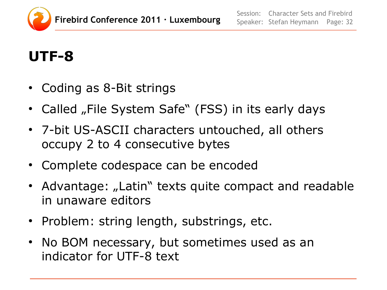

## **UTF-8**

- Coding as 8-Bit strings
- Called "File System Safe" (FSS) in its early days
- 7-bit US-ASCII characters untouched, all others occupy 2 to 4 consecutive bytes
- Complete codespace can be encoded
- Advantage: "Latin" texts quite compact and readable in unaware editors
- Problem: string length, substrings, etc.
- No BOM necessary, but sometimes used as an indicator for UTF-8 text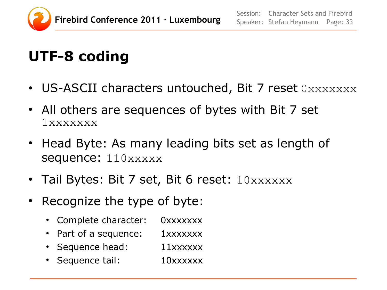

## **UTF-8 coding**

- US-ASCII characters untouched, Bit 7 reset  $0xxxxxxx$
- All others are sequences of bytes with Bit 7 set 1xxxxxxx
- Head Byte: As many leading bits set as length of sequence: 110xxxxx
- Tail Bytes: Bit 7 set, Bit 6 reset:  $10xxxxxx$
- Recognize the type of byte:
	- Complete character: 0xxxxxxx
	- Part of a sequence: 1xxxxxxx
	- Sequence head: 11xxxxxx
	- Sequence tail: 10xxxxxx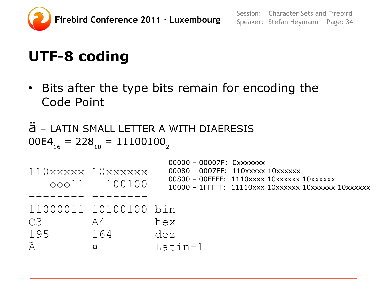

## **UTF-8 coding**

• Bits after the type bits remain for encoding the Code Point

ä – LATIN SMALL LETTER A WITH DIAERESIS  $00E4_{16} = 228_{10} = 11100100$ 

| 110xxxxx 10xxxxxx | 00011 100100                                   | $00000 - 00007F$ : $0xxxxxx$<br>00080 - 0007FF: 110xxxxx 10xxxxxx<br>00800 - 00FFFF: 1110xxxx 10xxxxxx 10xxxxxx<br>$10000 - 1$ FFFFF: 11110xxx 10xxxxxx 10xxxxxx 10xxxxxx |
|-------------------|------------------------------------------------|---------------------------------------------------------------------------------------------------------------------------------------------------------------------------|
| C3<br>195<br>Ã    | 11000011 10100100 bin<br>A4<br>164<br>$\alpha$ | hex<br>dez<br>Latin-1                                                                                                                                                     |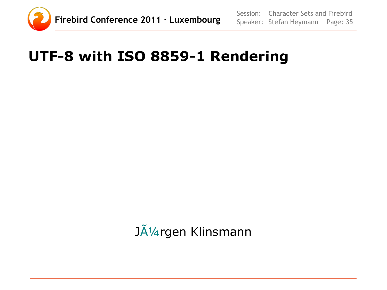

## **UTF-8 with ISO 8859-1 Rendering**

Jürgen Klinsmann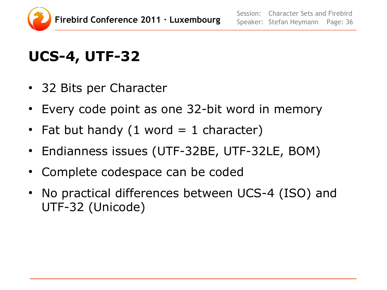

## **UCS-4, UTF-32**

- 32 Bits per Character
- Every code point as one 32-bit word in memory
- Fat but handy  $(1$  word  $= 1$  character)
- Endianness issues (UTF-32BE, UTF-32LE, BOM)
- Complete codespace can be coded
- No practical differences between UCS-4 (ISO) and UTF-32 (Unicode)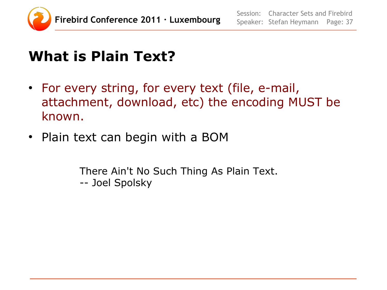

## **What is Plain Text?**

- For every string, for every text (file, e-mail, attachment, download, etc) the encoding MUST be known.
- Plain text can begin with a BOM

There Ain't No Such Thing As Plain Text. -- Joel Spolsky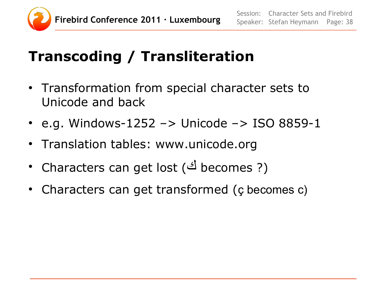

## **Transcoding / Transliteration**

- Transformation from special character sets to Unicode and back
- e.g. Windows-1252  $\rightarrow$  Unicode  $\rightarrow$  ISO 8859-1
- Translation tables: www.unicode.org
- Characters can get lost (<sup>رما</sup> becomes ?)
- Characters can get transformed (ç becomes c)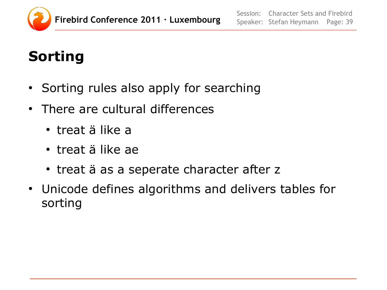

## **Sorting**

- Sorting rules also apply for searching
- There are cultural differences
	- treat ä like a
	- treat ä like ae
	- treat ä as a seperate character after z
- Unicode defines algorithms and delivers tables for sorting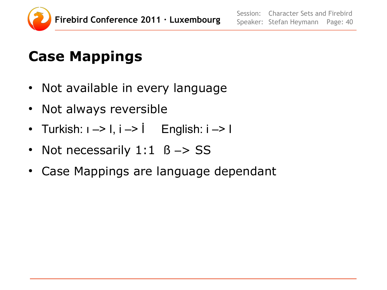

#### **Case Mappings**

- Not available in every language
- Not always reversible
- Turkish:  $1 \rightarrow 1$ ,  $i \rightarrow i$  English:  $i \rightarrow 1$
- Not necessarily  $1:1$   $\beta \rightarrow SS$
- Case Mappings are language dependant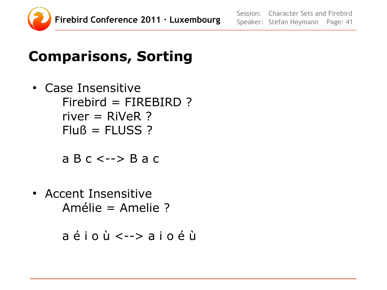

### **Comparisons, Sorting**

• Case Insensitive  $Firebird = FIRFBIRD$  ?  $river = RiVeR$  ?  $Fluß = FLUSS ?$ 

a B c <--> B a c

• Accent Insensitive Amélie = Amelie ?

a é i o ù <--> a i o é ù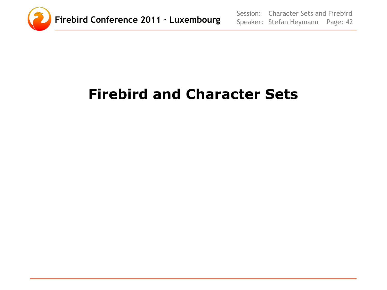

## **Firebird and Character Sets**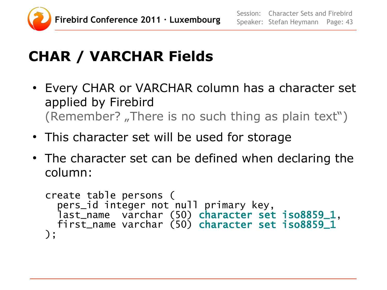

## **CHAR / VARCHAR Fields**

- Every CHAR or VARCHAR column has a character set applied by Firebird (Remember?, There is no such thing as plain text")
- This character set will be used for storage
- The character set can be defined when declaring the column:

```
create table persons (
 pers_id integer not null primary key,
 last_name varchar (50) character set iso8859_1,
 first_name varchar (50) character set iso8859_1
);
```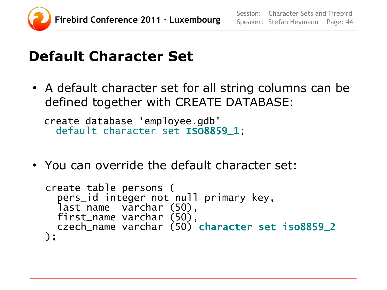

#### **Default Character Set**

• A default character set for all string columns can be defined together with CREATE DATABASE:

create database 'employee.gdb' default character set ISO8859\_1;

• You can override the default character set:

```
create table persons (
   pers_id integer not null primary key,
   last_name varchar (50),
  first_name varchar (50),
   czech_name varchar (50) character set iso8859_2
);
```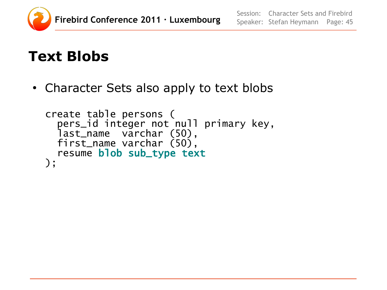

#### **Text Blobs**

• Character Sets also apply to text blobs

```
create table persons (
   pers_id integer not null primary key,
   last_name varchar (50),
   first_name varchar (50),
   resume blob sub_type text
);
```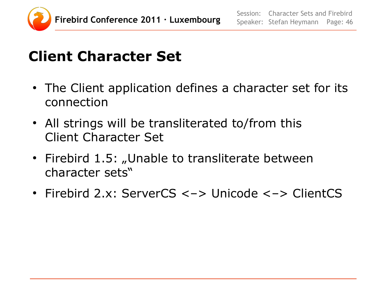

### **Client Character Set**

- The Client application defines a character set for its connection
- All strings will be transliterated to/from this Client Character Set
- Firebird 1.5: "Unable to transliterate between character sets"
- Firebird 2.x: ServerCS <-> Unicode <-> ClientCS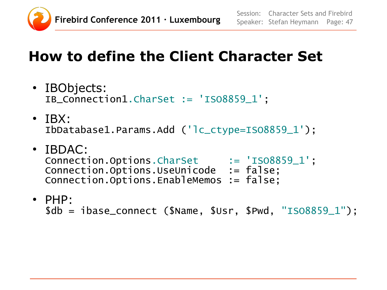

#### **How to define the Client Character Set**

- IBObjects: IB\_Connection1.CharSet := 'ISO8859\_1';
- $\cdot$  TBX: IbDatabase1.Params.Add ('lc\_ctype=ISO8859\_1');
- IBDAC: Connection.Options.CharSet := 'ISO8859\_1'; Connection.Options.UseUnicode := false; Connection.Options.EnableMemos := false;
- PHP:

```
$db = ibase_connect ($Name, $Usr, $Pwd, "ISO8859_1");
```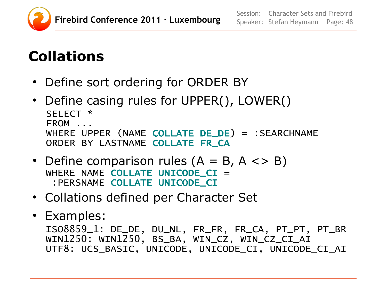

## **Collations**

- Define sort ordering for ORDER BY
- Define casing rules for UPPER(), LOWER() SELECT \* FROM ... WHERE UPPER (NAME COLLATE DE\_DE) = :SEARCHNAME ORDER BY LASTNAME COLLATE FR\_CA
- Define comparison rules  $(A = B, A \le B)$ WHERE NAME COLLATE UNICODE CI = :PERSNAME COLLATE UNICODE\_CI
- Collations defined per Character Set
- Examples: ISO8859\_1: DE\_DE, DU\_NL, FR\_FR, FR\_CA, PT\_PT, PT\_BR WIN1250: WIN1250, BS\_BA, WIN\_CZ, WIN\_CZ\_CI\_AI UTF8: UCS\_BASIC, UNICODE, UNICODE\_CI, UNICODE\_CI\_AI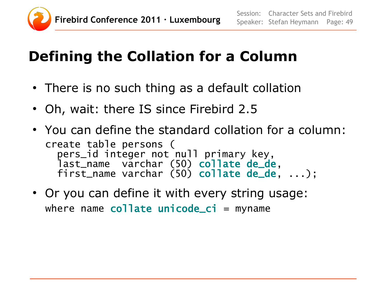

## **Defining the Collation for a Column**

- There is no such thing as a default collation
- Oh, wait: there IS since Firebird 2.5
- You can define the standard collation for a column: create table persons ( pers\_id integer not null primary key, last\_name varchar (50) collate de\_de, first\_name varchar (50) collate de\_de, ...);
- Or you can define it with every string usage: where name collate unicode\_ci = myname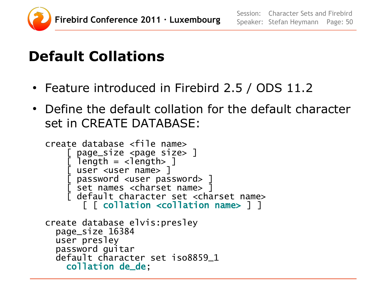

## **Default Collations**

- Feature introduced in Firebird 2.5 / ODS 11.2
- Define the default collation for the default character set in CREATE DATABASE:

```
create database <file name>
     page_size <page size> ]
     length = <length]
      user <user name> ]
 [ password <user password> ]
 [ set names <charset name> ]
      default character set <charset name>
        [ [ collation <collation name> ] ]
create database elvis:presley
   page_size 16384
  user presley
   password guitar
  default character set iso8859_1
     collation de_de;
```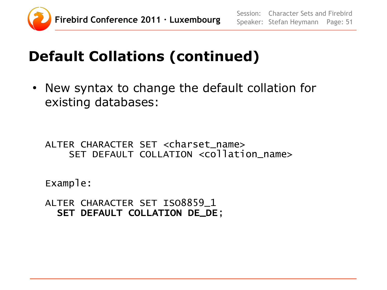

## **Default Collations (continued)**

• New syntax to change the default collation for existing databases:

ALTER CHARACTER SET <charset\_name> SET DEFAULT COLLATION <collation\_name>

Example:

ALTER CHARACTER SET ISO8859\_1 SET DEFAULT COLLATION DE\_DE;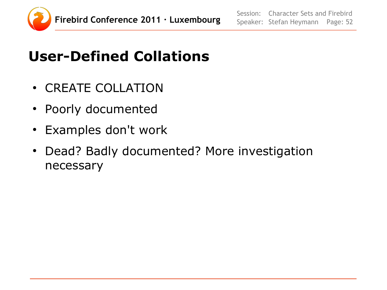

## **User-Defined Collations**

- CREATE COLLATION
- Poorly documented
- Examples don't work
- Dead? Badly documented? More investigation necessary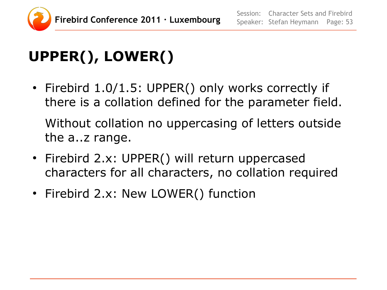

# **UPPER(), LOWER()**

- Firebird 1.0/1.5: UPPER() only works correctly if there is a collation defined for the parameter field. Without collation no uppercasing of letters outside the a..z range.
- Firebird 2.x: UPPER() will return uppercased characters for all characters, no collation required
- Firebird 2.x: New LOWER() function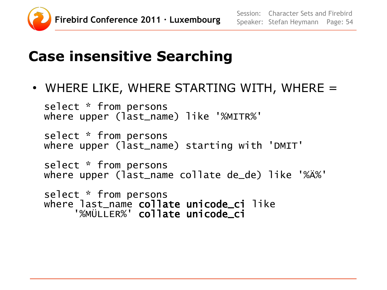

#### **Case insensitive Searching**

 $\bullet$  WHERE LIKE, WHERE STARTING WITH, WHERE  $=$ 

select \* from persons where upper (last\_name) like '%MITR%'

select \* from persons where upper (last\_name) starting with 'DMIT'

select \* from persons where upper (last\_name collate de\_de) like '%Ä%'

select \* from persons where last\_name collate unicode\_ci like '%MÜLLER%' collate unicode\_ci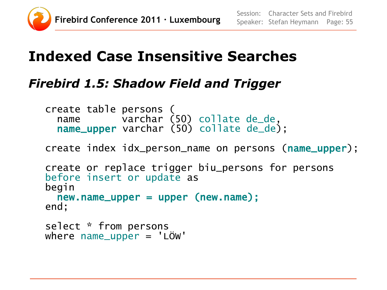

#### **Indexed Case Insensitive Searches**

#### *Firebird 1.5: Shadow Field and Trigger*

```
create table persons (
 name varchar (50) collate de_de,
 name_upper varchar (50) collate de_de);
```
create index idx\_person\_name on persons (name\_upper);

```
create or replace trigger biu_persons for persons
before insert or update as
begin
  new.name\_upper = upper (new.name);end;
select * from persons
where name_upper = 'LÖW'
```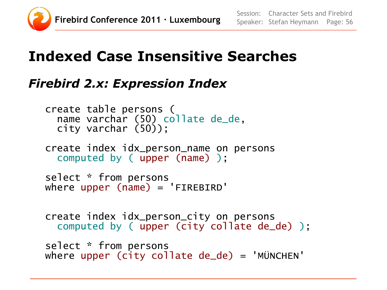

#### **Indexed Case Insensitive Searches**

#### *Firebird 2.x: Expression Index*

```
create table persons (
   name varchar (50) collate de_de,
   city varchar (50));
create index idx_person_name on persons 
   computed by ( upper (name) );
select * from persons
where upper (name) = 'FIREBIRD'create index idx_person_city on persons
   computed by ( upper (city collate de_de) );
select * from persons
where upper (city collate de de ) = 'MUNCHEN'
```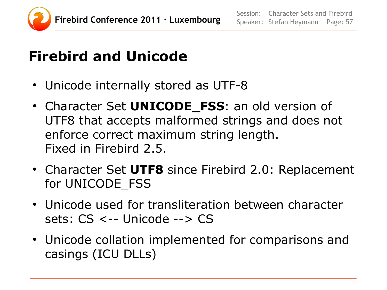

## **Firebird and Unicode**

- Unicode internally stored as UTF-8
- Character Set **UNICODE\_FSS**: an old version of UTF8 that accepts malformed strings and does not enforce correct maximum string length. Fixed in Firebird 2.5.
- Character Set UTF8 since Firebird 2.0: Replacement for UNICODE\_FSS
- Unicode used for transliteration between character sets: CS <-- Unicode --> CS
- Unicode collation implemented for comparisons and casings (ICU DLLs)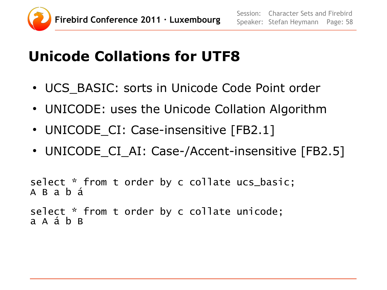

## **Unicode Collations for UTF8**

- UCS BASIC: sorts in Unicode Code Point order
- UNICODE: uses the Unicode Collation Algorithm
- UNICODE CI: Case-insensitive [FB2.1]
- UNICODE CI AI: Case-/Accent-insensitive [FB2.5]

```
select * from t order by c collate ucs_basic;
A B a b á
```

```
select * from t order by c collate unicode;
a A á b B
```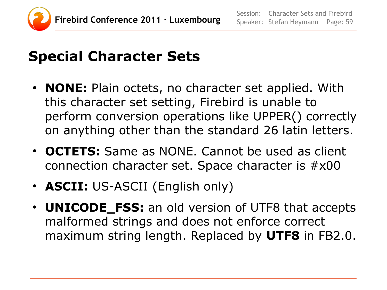

#### **Special Character Sets**

- **NONE:** Plain octets, no character set applied. With this character set setting, Firebird is unable to perform conversion operations like UPPER() correctly on anything other than the standard 26 latin letters.
- **OCTETS:** Same as NONE. Cannot be used as client connection character set. Space character is #x00
- **ASCII:** US-ASCII (English only)
- **UNICODE\_FSS:** an old version of UTF8 that accepts malformed strings and does not enforce correct maximum string length. Replaced by **UTF8** in FB2.0.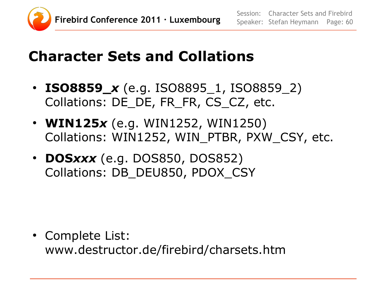

### **Character Sets and Collations**

- **ISO8859\_***x* (e.g. ISO8895\_1, ISO8859\_2) Collations: DE\_DE, FR\_FR, CS\_CZ, etc.
- **WIN125***x* (e.g. WIN1252, WIN1250) Collations: WIN1252, WIN\_PTBR, PXW\_CSY, etc.
- **DOS***xxx* (e.g. DOS850, DOS852) Collations: DB\_DEU850, PDOX\_CSY

• Complete List: www.destructor.de/firebird/charsets.htm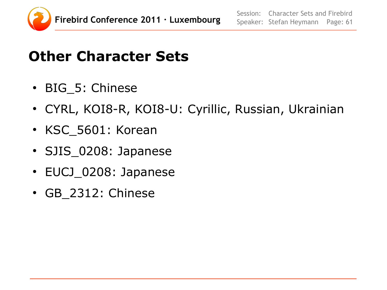

#### **Other Character Sets**

- BIG 5: Chinese
- CYRL, KOI8-R, KOI8-U: Cyrillic, Russian, Ukrainian
- KSC 5601: Korean
- SJIS\_0208: Japanese
- EUCJ\_0208: Japanese
- GB\_2312: Chinese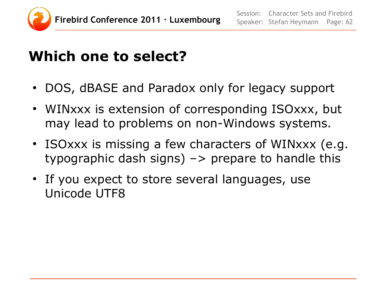

#### **Which one to select?**

- DOS, dBASE and Paradox only for legacy support
- WINxxx is extension of corresponding ISOxxx, but may lead to problems on non-Windows systems.
- ISOxxx is missing a few characters of WINxxx (e.g. typographic dash signs)  $\rightarrow$  prepare to handle this
- If you expect to store several languages, use Unicode UTF8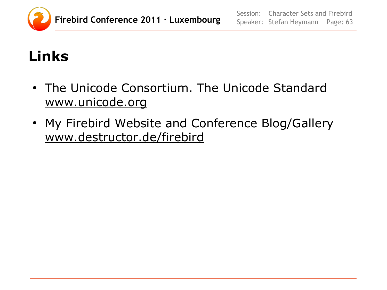

## **Links**

- The Unicode Consortium. The Unicode Standard www.unicode.org
- My Firebird Website and Conference Blog/Gallery www.destructor.de/firebird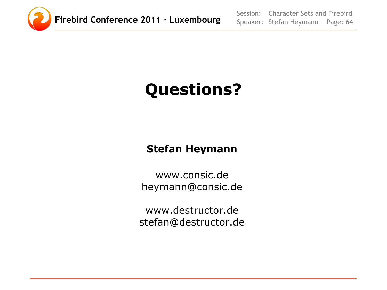

Session: Speaker: Stefan Heymann Page: 64 Character Sets and Firebird

# **Questions?**

#### **Stefan Heymann**

www.consic.de heymann@consic.de

www.destructor.de stefan@destructor.de